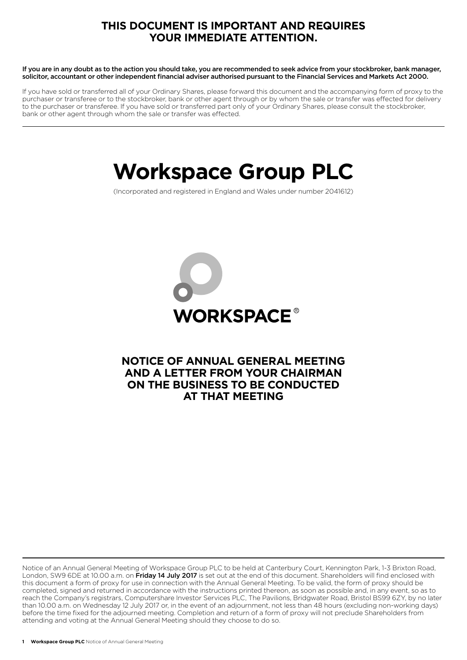## **THIS DOCUMENT IS IMPORTANT AND REQUIRES YOUR IMMEDIATE ATTENTION.**

If you are in any doubt as to the action you should take, you are recommended to seek advice from your stockbroker, bank manager, solicitor, accountant or other independent financial adviser authorised pursuant to the Financial Services and Markets Act 2000.

If you have sold or transferred all of your Ordinary Shares, please forward this document and the accompanying form of proxy to the purchaser or transferee or to the stockbroker, bank or other agent through or by whom the sale or transfer was effected for delivery to the purchaser or transferee. If you have sold or transferred part only of your Ordinary Shares, please consult the stockbroker, bank or other agent through whom the sale or transfer was effected.

# **Workspace Group PLC**

(Incorporated and registered in England and Wales under number 2041612)



## **NOTICE OF ANNUAL GENERAL MEETING AND A LETTER FROM YOUR CHAIRMAN ON THE BUSINESS TO BE CONDUCTED AT THAT MEETING**

Notice of an Annual General Meeting of Workspace Group PLC to be held at Canterbury Court, Kennington Park, 1-3 Brixton Road, London, SW9 6DE at 10.00 a.m. on Friday 14 July 2017 is set out at the end of this document. Shareholders will find enclosed with this document a form of proxy for use in connection with the Annual General Meeting. To be valid, the form of proxy should be completed, signed and returned in accordance with the instructions printed thereon, as soon as possible and, in any event, so as to reach the Company's registrars, Computershare Investor Services PLC, The Pavilions, Bridgwater Road, Bristol BS99 6ZY, by no later than 10.00 a.m. on Wednesday 12 July 2017 or, in the event of an adjournment, not less than 48 hours (excluding non-working days) before the time fixed for the adjourned meeting. Completion and return of a form of proxy will not preclude Shareholders from attending and voting at the Annual General Meeting should they choose to do so.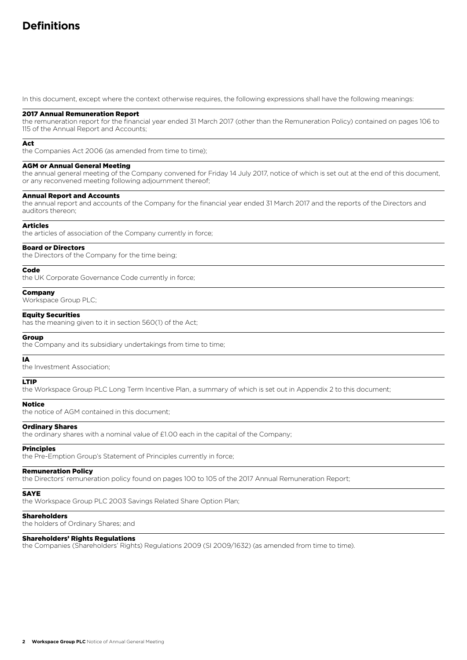## **Definitions**

In this document, except where the context otherwise requires, the following expressions shall have the following meanings:

#### 2017 Annual Remuneration Report

the remuneration report for the financial year ended 31 March 2017 (other than the Remuneration Policy) contained on pages 106 to 115 of the Annual Report and Accounts;

#### Act

the Companies Act 2006 (as amended from time to time);

#### AGM or Annual General Meeting

the annual general meeting of the Company convened for Friday 14 July 2017, notice of which is set out at the end of this document, or any reconvened meeting following adjournment thereof;

#### Annual Report and Accounts

the annual report and accounts of the Company for the financial year ended 31 March 2017 and the reports of the Directors and auditors thereon;

#### Articles

the articles of association of the Company currently in force;

#### Board or Directors

the Directors of the Company for the time being;

#### Code

the UK Corporate Governance Code currently in force;

#### Company

Workspace Group PLC;

#### Equity Securities

has the meaning given to it in section 560(1) of the Act;

#### Group

the Company and its subsidiary undertakings from time to time;

#### IA

the Investment Association;

## LTIP

the Workspace Group PLC Long Term Incentive Plan, a summary of which is set out in Appendix 2 to this document;

#### Notice

the notice of AGM contained in this document;

#### Ordinary Shares

the ordinary shares with a nominal value of £1.00 each in the capital of the Company;

#### Principles

the Pre-Emption Group's Statement of Principles currently in force;

#### Remuneration Policy

the Directors' remuneration policy found on pages 100 to 105 of the 2017 Annual Remuneration Report;

#### **SAYE**

the Workspace Group PLC 2003 Savings Related Share Option Plan;

#### Shareholders

the holders of Ordinary Shares; and

#### Shareholders' Rights Regulations

the Companies (Shareholders' Rights) Regulations 2009 (SI 2009/1632) (as amended from time to time).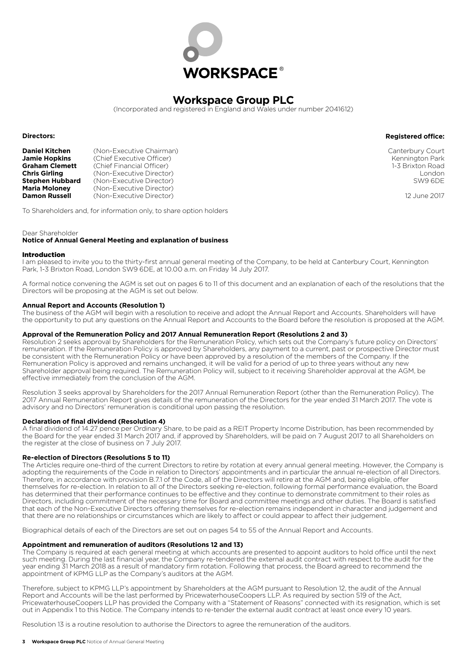

## **Workspace Group PLC**

(Incorporated and registered in England and Wales under number 2041612)

**Directors:**

**Daniel Kitchen** (Non-Executive Chairman)<br>**Jamie Hopkins** (Chief Executive Officer) **Jamie Hopkins** (Chief Executive Officer)<br>**Graham Clemett** (Chief Financial Officer) **Graham Clemett** (Chief Financial Officer)<br> **Chris Girling** (Non-Executive Director **Chris Girling** (Non-Executive Director)<br> **Stephen Hubbard** (Non-Executive Director) **Stephen Hubbard** (Non-Executive Director)<br>**Maria Moloney** (Non-Executive Director) **Maria Moloney** (Non-Executive Director)<br> **Damon Russell** (Non-Executive Director) (Non-Executive Director)

Canterbury Court Kennington Park 1-3 Brixton Road London SW9 6DE

**Registered office:**

12 June 2017

To Shareholders and, for information only, to share option holders

#### Dear Shareholder

#### **Notice of Annual General Meeting and explanation of business**

#### Introduction

I am pleased to invite you to the thirty-first annual general meeting of the Company, to be held at Canterbury Court, Kennington Park, 1-3 Brixton Road, London SW9 6DE, at 10.00 a.m. on Friday 14 July 2017.

A formal notice convening the AGM is set out on pages 6 to 11 of this document and an explanation of each of the resolutions that the Directors will be proposing at the AGM is set out below.

#### **Annual Report and Accounts (Resolution 1)**

The business of the AGM will begin with a resolution to receive and adopt the Annual Report and Accounts. Shareholders will have the opportunity to put any questions on the Annual Report and Accounts to the Board before the resolution is proposed at the AGM.

#### **Approval of the Remuneration Policy and 2017 Annual Remuneration Report (Resolutions 2 and 3)**

Resolution 2 seeks approval by Shareholders for the Remuneration Policy, which sets out the Company's future policy on Directors' remuneration. If the Remuneration Policy is approved by Shareholders, any payment to a current, past or prospective Director must be consistent with the Remuneration Policy or have been approved by a resolution of the members of the Company. If the Remuneration Policy is approved and remains unchanged, it will be valid for a period of up to three years without any new Shareholder approval being required. The Remuneration Policy will, subject to it receiving Shareholder approval at the AGM, be effective immediately from the conclusion of the AGM.

Resolution 3 seeks approval by Shareholders for the 2017 Annual Remuneration Report (other than the Remuneration Policy). The 2017 Annual Remuneration Report gives details of the remuneration of the Directors for the year ended 31 March 2017. The vote is advisory and no Directors' remuneration is conditional upon passing the resolution.

#### **Declaration of final dividend (Resolution 4)**

A final dividend of 14.27 pence per Ordinary Share, to be paid as a REIT Property Income Distribution, has been recommended by the Board for the year ended 31 March 2017 and, if approved by Shareholders, will be paid on 7 August 2017 to all Shareholders on the register at the close of business on 7 July 2017.

#### **Re-election of Directors (Resolutions 5 to 11)**

The Articles require one-third of the current Directors to retire by rotation at every annual general meeting. However, the Company is adopting the requirements of the Code in relation to Directors' appointments and in particular the annual re-election of all Directors. Therefore, in accordance with provision B.7.1 of the Code, all of the Directors will retire at the AGM and, being eligible, offer themselves for re-election. In relation to all of the Directors seeking re-election, following formal performance evaluation, the Board has determined that their performance continues to be effective and they continue to demonstrate commitment to their roles as Directors, including commitment of the necessary time for Board and committee meetings and other duties. The Board is satisfied that each of the Non-Executive Directors offering themselves for re-election remains independent in character and judgement and that there are no relationships or circumstances which are likely to affect or could appear to affect their judgement.

Biographical details of each of the Directors are set out on pages 54 to 55 of the Annual Report and Accounts.

#### **Appointment and remuneration of auditors (Resolutions 12 and 13)**

The Company is required at each general meeting at which accounts are presented to appoint auditors to hold office until the next such meeting. During the last financial year, the Company re-tendered the external audit contract with respect to the audit for the year ending 31 March 2018 as a result of mandatory firm rotation. Following that process, the Board agreed to recommend the appointment of KPMG LLP as the Company's auditors at the AGM.

Therefore, subject to KPMG LLP's appointment by Shareholders at the AGM pursuant to Resolution 12, the audit of the Annual Report and Accounts will be the last performed by PricewaterhouseCoopers LLP. As required by section 519 of the Act, PricewaterhouseCoopers LLP has provided the Company with a "Statement of Reasons" connected with its resignation, which is set out in Appendix 1 to this Notice. The Company intends to re-tender the external audit contract at least once every 10 years.

Resolution 13 is a routine resolution to authorise the Directors to agree the remuneration of the auditors.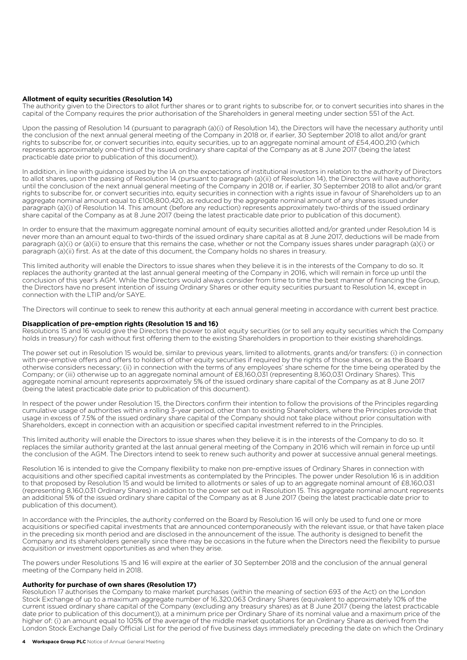#### **Allotment of equity securities (Resolution 14)**

The authority given to the Directors to allot further shares or to grant rights to subscribe for, or to convert securities into shares in the capital of the Company requires the prior authorisation of the Shareholders in general meeting under section 551 of the Act.

Upon the passing of Resolution 14 (pursuant to paragraph (a)(i) of Resolution 14), the Directors will have the necessary authority until the conclusion of the next annual general meeting of the Company in 2018 or, if earlier, 30 September 2018 to allot and/or grant rights to subscribe for, or convert securities into, equity securities, up to an aggregate nominal amount of £54,400,210 (which represents approximately one-third of the issued ordinary share capital of the Company as at 8 June 2017 (being the latest practicable date prior to publication of this document)).

In addition, in line with guidance issued by the IA on the expectations of institutional investors in relation to the authority of Directors to allot shares, upon the passing of Resolution 14 (pursuant to paragraph (a)(ii) of Resolution 14), the Directors will have authority, until the conclusion of the next annual general meeting of the Company in 2018 or, if earlier, 30 September 2018 to allot and/or grant rights to subscribe for, or convert securities into, equity securities in connection with a rights issue in favour of Shareholders up to an aggregate nominal amount equal to £108,800,420, as reduced by the aggregate nominal amount of any shares issued under paragraph (a)(i) of Resolution 14. This amount (before any reduction) represents approximately two-thirds of the issued ordinary share capital of the Company as at 8 June 2017 (being the latest practicable date prior to publication of this document).

In order to ensure that the maximum aggregate nominal amount of equity securities allotted and/or granted under Resolution 14 is never more than an amount equal to two-thirds of the issued ordinary share capital as at 8 June 2017, deductions will be made from paragraph (a)(i) or (a)(ii) to ensure that this remains the case, whether or not the Company issues shares under paragraph (a)(i) or paragraph (a)(ii) first. As at the date of this document, the Company holds no shares in treasury.

This limited authority will enable the Directors to issue shares when they believe it is in the interests of the Company to do so. It replaces the authority granted at the last annual general meeting of the Company in 2016, which will remain in force up until the conclusion of this year's AGM. While the Directors would always consider from time to time the best manner of financing the Group, the Directors have no present intention of issuing Ordinary Shares or other equity securities pursuant to Resolution 14, except in connection with the LTIP and/or SAYE.

The Directors will continue to seek to renew this authority at each annual general meeting in accordance with current best practice.

#### **Disapplication of pre-emption rights (Resolution 15 and 16)**

Resolutions 15 and 16 would give the Directors the power to allot equity securities (or to sell any equity securities which the Company holds in treasury) for cash without first offering them to the existing Shareholders in proportion to their existing shareholdings.

The power set out in Resolution 15 would be, similar to previous years, limited to allotments, grants and/or transfers: (i) in connection with pre-emptive offers and offers to holders of other equity securities if required by the rights of those shares, or as the Board otherwise considers necessary; (ii) in connection with the terms of any employees' share scheme for the time being operated by the Company; or (iii) otherwise up to an aggregate nominal amount of £8,160,031 (representing 8,160,031 Ordinary Shares). This aggregate nominal amount represents approximately 5% of the issued ordinary share capital of the Company as at 8 June 2017 (being the latest practicable date prior to publication of this document).

In respect of the power under Resolution 15, the Directors confirm their intention to follow the provisions of the Principles regarding cumulative usage of authorities within a rolling 3-year period, other than to existing Shareholders, where the Principles provide that usage in excess of 7.5% of the issued ordinary share capital of the Company should not take place without prior consultation with Shareholders, except in connection with an acquisition or specified capital investment referred to in the Principles.

This limited authority will enable the Directors to issue shares when they believe it is in the interests of the Company to do so. It replaces the similar authority granted at the last annual general meeting of the Company in 2016 which will remain in force up until the conclusion of the AGM. The Directors intend to seek to renew such authority and power at successive annual general meetings.

Resolution 16 is intended to give the Company flexibility to make non pre-emptive issues of Ordinary Shares in connection with acquisitions and other specified capital investments as contemplated by the Principles. The power under Resolution 16 is in addition to that proposed by Resolution 15 and would be limited to allotments or sales of up to an aggregate nominal amount of £8,160,031 (representing 8,160,031 Ordinary Shares) in addition to the power set out in Resolution 15. This aggregate nominal amount represents an additional 5% of the issued ordinary share capital of the Company as at 8 June 2017 (being the latest practicable date prior to publication of this document).

In accordance with the Principles, the authority conferred on the Board by Resolution 16 will only be used to fund one or more acquisitions or specified capital investments that are announced contemporaneously with the relevant issue, or that have taken place in the preceding six month period and are disclosed in the announcement of the issue. The authority is designed to benefit the Company and its shareholders generally since there may be occasions in the future when the Directors need the flexibility to pursue acquisition or investment opportunities as and when they arise.

The powers under Resolutions 15 and 16 will expire at the earlier of 30 September 2018 and the conclusion of the annual general meeting of the Company held in 2018.

#### **Authority for purchase of own shares (Resolution 17)**

Resolution 17 authorises the Company to make market purchases (within the meaning of section 693 of the Act) on the London Stock Exchange of up to a maximum aggregate number of 16,320,063 Ordinary Shares (equivalent to approximately 10% of the current issued ordinary share capital of the Company (excluding any treasury shares) as at 8 June 2017 (being the latest practicable date prior to publication of this document)), at a minimum price per Ordinary Share of its nominal value and a maximum price of the higher of: (i) an amount equal to 105% of the average of the middle market quotations for an Ordinary Share as derived from the London Stock Exchange Daily Official List for the period of five business days immediately preceding the date on which the Ordinary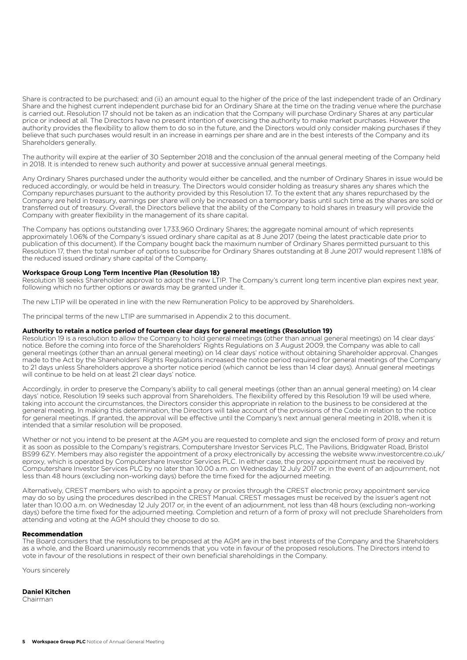Share is contracted to be purchased; and (ii) an amount equal to the higher of the price of the last independent trade of an Ordinary Share and the highest current independent purchase bid for an Ordinary Share at the time on the trading venue where the purchase is carried out. Resolution 17 should not be taken as an indication that the Company will purchase Ordinary Shares at any particular price or indeed at all. The Directors have no present intention of exercising the authority to make market purchases. However the authority provides the flexibility to allow them to do so in the future, and the Directors would only consider making purchases if they believe that such purchases would result in an increase in earnings per share and are in the best interests of the Company and its Shareholders generally.

The authority will expire at the earlier of 30 September 2018 and the conclusion of the annual general meeting of the Company held in 2018. It is intended to renew such authority and power at successive annual general meetings.

Any Ordinary Shares purchased under the authority would either be cancelled, and the number of Ordinary Shares in issue would be reduced accordingly, or would be held in treasury. The Directors would consider holding as treasury shares any shares which the Company repurchases pursuant to the authority provided by this Resolution 17. To the extent that any shares repurchased by the Company are held in treasury, earnings per share will only be increased on a temporary basis until such time as the shares are sold or transferred out of treasury. Overall, the Directors believe that the ability of the Company to hold shares in treasury will provide the Company with greater flexibility in the management of its share capital.

The Company has options outstanding over 1,733,960 Ordinary Shares; the aggregate nominal amount of which represents approximately 1.06% of the Company's issued ordinary share capital as at 8 June 2017 (being the latest practicable date prior to publication of this document). If the Company bought back the maximum number of Ordinary Shares permitted pursuant to this Resolution 17, then the total number of options to subscribe for Ordinary Shares outstanding at 8 June 2017 would represent 1.18% of the reduced issued ordinary share capital of the Company.

#### **Workspace Group Long Term Incentive Plan (Resolution 18)**

Resolution 18 seeks Shareholder approval to adopt the new LTIP. The Company's current long term incentive plan expires next year, following which no further options or awards may be granted under it.

The new LTIP will be operated in line with the new Remuneration Policy to be approved by Shareholders.

The principal terms of the new LTIP are summarised in Appendix 2 to this document.

#### **Authority to retain a notice period of fourteen clear days for general meetings (Resolution 19)**

Resolution 19 is a resolution to allow the Company to hold general meetings (other than annual general meetings) on 14 clear days' notice. Before the coming into force of the Shareholders' Rights Regulations on 3 August 2009, the Company was able to call general meetings (other than an annual general meeting) on 14 clear days' notice without obtaining Shareholder approval. Changes made to the Act by the Shareholders' Rights Regulations increased the notice period required for general meetings of the Company to 21 days unless Shareholders approve a shorter notice period (which cannot be less than 14 clear days). Annual general meetings will continue to be held on at least 21 clear days' notice.

Accordingly, in order to preserve the Company's ability to call general meetings (other than an annual general meeting) on 14 clear days' notice, Resolution 19 seeks such approval from Shareholders. The flexibility offered by this Resolution 19 will be used where, taking into account the circumstances, the Directors consider this appropriate in relation to the business to be considered at the general meeting. In making this determination, the Directors will take account of the provisions of the Code in relation to the notice for general meetings. If granted, the approval will be effective until the Company's next annual general meeting in 2018, when it is intended that a similar resolution will be proposed.

Whether or not you intend to be present at the AGM you are requested to complete and sign the enclosed form of proxy and return it as soon as possible to the Company's registrars, Computershare Investor Services PLC, The Pavilions, Bridgwater Road, Bristol BS99 6ZY. Members may also register the appointment of a proxy electronically by accessing the website www.investorcentre.co.uk/ eproxy, which is operated by Computershare Investor Services PLC. In either case, the proxy appointment must be received by Computershare Investor Services PLC by no later than 10.00 a.m. on Wednesday 12 July 2017 or, in the event of an adjournment, not less than 48 hours (excluding non-working days) before the time fixed for the adjourned meeting.

Alternatively, CREST members who wish to appoint a proxy or proxies through the CREST electronic proxy appointment service may do so by using the procedures described in the CREST Manual. CREST messages must be received by the issuer's agent not later than 10.00 a.m. on Wednesday 12 July 2017 or, in the event of an adjournment, not less than 48 hours (excluding non-working days) before the time fixed for the adjourned meeting. Completion and return of a form of proxy will not preclude Shareholders from attending and voting at the AGM should they choose to do so.

#### Recommendation

The Board considers that the resolutions to be proposed at the AGM are in the best interests of the Company and the Shareholders as a whole, and the Board unanimously recommends that you vote in favour of the proposed resolutions. The Directors intend to vote in favour of the resolutions in respect of their own beneficial shareholdings in the Company.

Yours sincerely

#### **Daniel Kitchen**

Chairman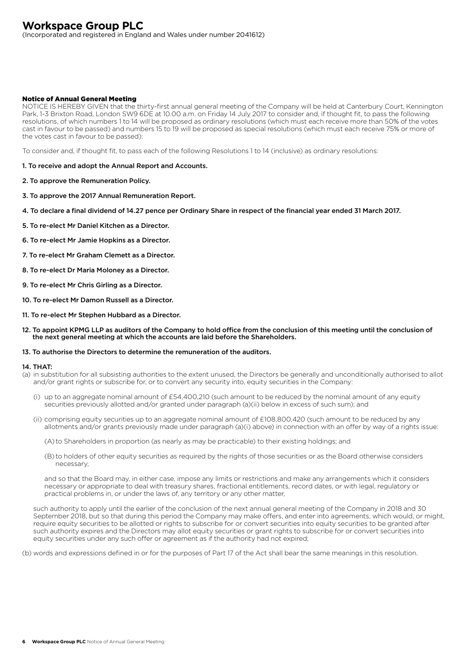(Incorporated and registered in England and Wales under number 2041612)

## Notice of Annual General Meeting

NOTICE IS HEREBY GIVEN that the thirty-first annual general meeting of the Company will be held at Canterbury Court, Kennington Park, 1-3 Brixton Road, London SW9 6DE at 10.00 a.m. on Friday 14 July 2017 to consider and, if thought fit, to pass the following resolutions, of which numbers 1 to 14 will be proposed as ordinary resolutions (which must each receive more than 50% of the votes cast in favour to be passed) and numbers 15 to 19 will be proposed as special resolutions (which must each receive 75% or more of the votes cast in favour to be passed):

To consider and, if thought fit, to pass each of the following Resolutions 1 to 14 (inclusive) as ordinary resolutions:

#### 1. To receive and adopt the Annual Report and Accounts.

- 2. To approve the Remuneration Policy.
- 3. To approve the 2017 Annual Remuneration Report.
- 4. To declare a final dividend of 14.27 pence per Ordinary Share in respect of the financial year ended 31 March 2017.
- 5. To re-elect Mr Daniel Kitchen as a Director.
- 6. To re-elect Mr Jamie Hopkins as a Director.
- 7. To re-elect Mr Graham Clemett as a Director.
- 8. To re-elect Dr Maria Moloney as a Director.
- 9. To re-elect Mr Chris Girling as a Director.
- 10. To re-elect Mr Damon Russell as a Director.
- 11. To re-elect Mr Stephen Hubbard as a Director.
- 12. To appoint KPMG LLP as auditors of the Company to hold office from the conclusion of this meeting until the conclusion of the next general meeting at which the accounts are laid before the Shareholders.

#### 13. To authorise the Directors to determine the remuneration of the auditors.

#### 14. THAT:

- (a) in substitution for all subsisting authorities to the extent unused, the Directors be generally and unconditionally authorised to allot and/or grant rights or subscribe for, or to convert any security into, equity securities in the Company:
	- (i) up to an aggregate nominal amount of £54,400,210 (such amount to be reduced by the nominal amount of any equity securities previously allotted and/or granted under paragraph (a)(ii) below in excess of such sum); and
	- (ii) comprising equity securities up to an aggregate nominal amount of £108,800,420 (such amount to be reduced by any allotments and/or grants previously made under paragraph (a)(i) above) in connection with an offer by way of a rights issue:
		- (A) to Shareholders in proportion (as nearly as may be practicable) to their existing holdings; and
		- (B) to holders of other equity securities as required by the rights of those securities or as the Board otherwise considers necessary,

 and so that the Board may, in either case, impose any limits or restrictions and make any arrangements which it considers necessary or appropriate to deal with treasury shares, fractional entitlements, record dates, or with legal, regulatory or practical problems in, or under the laws of, any territory or any other matter,

 such authority to apply until the earlier of the conclusion of the next annual general meeting of the Company in 2018 and 30 September 2018, but so that during this period the Company may make offers, and enter into agreements, which would, or might, require equity securities to be allotted or rights to subscribe for or convert securities into equity securities to be granted after such authority expires and the Directors may allot equity securities or grant rights to subscribe for or convert securities into equity securities under any such offer or agreement as if the authority had not expired;

(b) words and expressions defined in or for the purposes of Part 17 of the Act shall bear the same meanings in this resolution.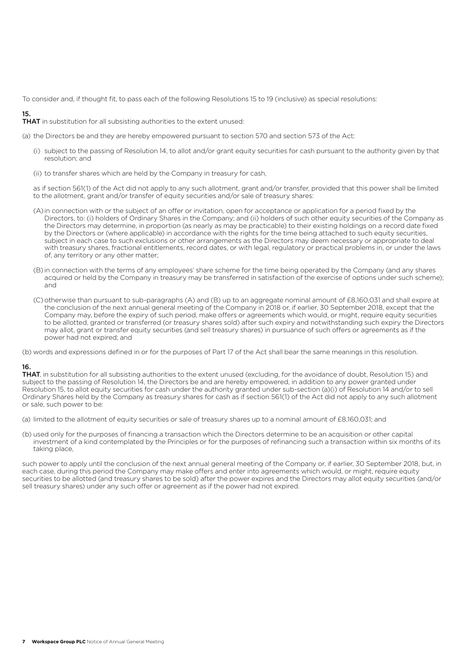To consider and, if thought fit, to pass each of the following Resolutions 15 to 19 (inclusive) as special resolutions:

## 15.

**THAT** in substitution for all subsisting authorities to the extent unused:

(a) the Directors be and they are hereby empowered pursuant to section 570 and section 573 of the Act:

- (i) subject to the passing of Resolution 14, to allot and/or grant equity securities for cash pursuant to the authority given by that resolution; and
- (ii) to transfer shares which are held by the Company in treasury for cash,

 as if section 561(1) of the Act did not apply to any such allotment, grant and/or transfer, provided that this power shall be limited to the allotment, grant and/or transfer of equity securities and/or sale of treasury shares:

- (A) in connection with or the subject of an offer or invitation, open for acceptance or application for a period fixed by the Directors, to: (i) holders of Ordinary Shares in the Company; and (ii) holders of such other equity securities of the Company as the Directors may determine, in proportion (as nearly as may be practicable) to their existing holdings on a record date fixed by the Directors or (where applicable) in accordance with the rights for the time being attached to such equity securities, subject in each case to such exclusions or other arrangements as the Directors may deem necessary or appropriate to deal with treasury shares, fractional entitlements, record dates, or with legal, regulatory or practical problems in, or under the laws of, any territory or any other matter;
- (B) in connection with the terms of any employees' share scheme for the time being operated by the Company (and any shares acquired or held by the Company in treasury may be transferred in satisfaction of the exercise of options under such scheme); and
- (C) otherwise than pursuant to sub-paragraphs (A) and (B) up to an aggregate nominal amount of £8,160,031 and shall expire at the conclusion of the next annual general meeting of the Company in 2018 or, if earlier, 30 September 2018, except that the Company may, before the expiry of such period, make offers or agreements which would, or might, require equity securities to be allotted, granted or transferred (or treasury shares sold) after such expiry and notwithstanding such expiry the Directors may allot, grant or transfer equity securities (and sell treasury shares) in pursuance of such offers or agreements as if the power had not expired; and
- (b) words and expressions defined in or for the purposes of Part 17 of the Act shall bear the same meanings in this resolution.

## 16.

THAT, in substitution for all subsisting authorities to the extent unused (excluding, for the avoidance of doubt, Resolution 15) and subject to the passing of Resolution 14, the Directors be and are hereby empowered, in addition to any power granted under Resolution 15, to allot equity securities for cash under the authority granted under sub-section (a)(i) of Resolution 14 and/or to sell Ordinary Shares held by the Company as treasury shares for cash as if section 561(1) of the Act did not apply to any such allotment or sale, such power to be:

- (a) limited to the allotment of equity securities or sale of treasury shares up to a nominal amount of £8,160,031; and
- (b) used only for the purposes of financing a transaction which the Directors determine to be an acquisition or other capital investment of a kind contemplated by the Principles or for the purposes of refinancing such a transaction within six months of its taking place,

such power to apply until the conclusion of the next annual general meeting of the Company or, if earlier, 30 September 2018, but, in each case, during this period the Company may make offers and enter into agreements which would, or might, require equity securities to be allotted (and treasury shares to be sold) after the power expires and the Directors may allot equity securities (and/or sell treasury shares) under any such offer or agreement as if the power had not expired.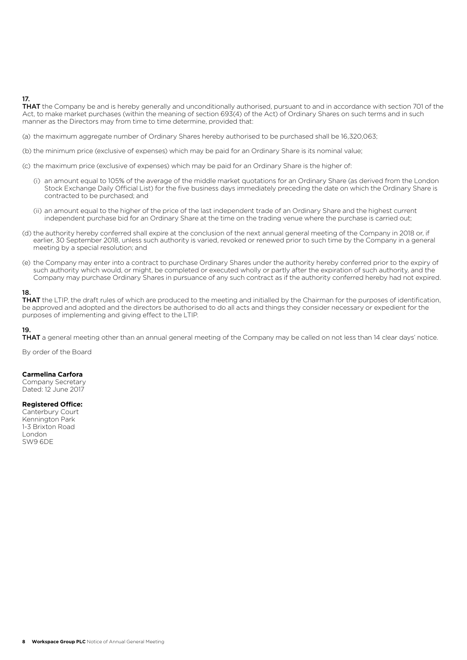## 17.

THAT the Company be and is hereby generally and unconditionally authorised, pursuant to and in accordance with section 701 of the Act, to make market purchases (within the meaning of section 693(4) of the Act) of Ordinary Shares on such terms and in such manner as the Directors may from time to time determine, provided that:

- (a) the maximum aggregate number of Ordinary Shares hereby authorised to be purchased shall be 16,320,063;
- (b) the minimum price (exclusive of expenses) which may be paid for an Ordinary Share is its nominal value;
- (c) the maximum price (exclusive of expenses) which may be paid for an Ordinary Share is the higher of:
	- (i) an amount equal to 105% of the average of the middle market quotations for an Ordinary Share (as derived from the London Stock Exchange Daily Official List) for the five business days immediately preceding the date on which the Ordinary Share is contracted to be purchased; and
	- (ii) an amount equal to the higher of the price of the last independent trade of an Ordinary Share and the highest current independent purchase bid for an Ordinary Share at the time on the trading venue where the purchase is carried out;
- (d) the authority hereby conferred shall expire at the conclusion of the next annual general meeting of the Company in 2018 or, if earlier, 30 September 2018, unless such authority is varied, revoked or renewed prior to such time by the Company in a general meeting by a special resolution; and
- (e) the Company may enter into a contract to purchase Ordinary Shares under the authority hereby conferred prior to the expiry of such authority which would, or might, be completed or executed wholly or partly after the expiration of such authority, and the Company may purchase Ordinary Shares in pursuance of any such contract as if the authority conferred hereby had not expired.

#### 18.

THAT the LTIP, the draft rules of which are produced to the meeting and initialled by the Chairman for the purposes of identification, be approved and adopted and the directors be authorised to do all acts and things they consider necessary or expedient for the purposes of implementing and giving effect to the LTIP.

#### 19.

THAT a general meeting other than an annual general meeting of the Company may be called on not less than 14 clear days' notice.

By order of the Board

#### **Carmelina Carfora**

Company Secretary Dated: 12 June 2017

#### **Registered Office:**

Canterbury Court Kennington Park 1-3 Brixton Road London SW9 6DE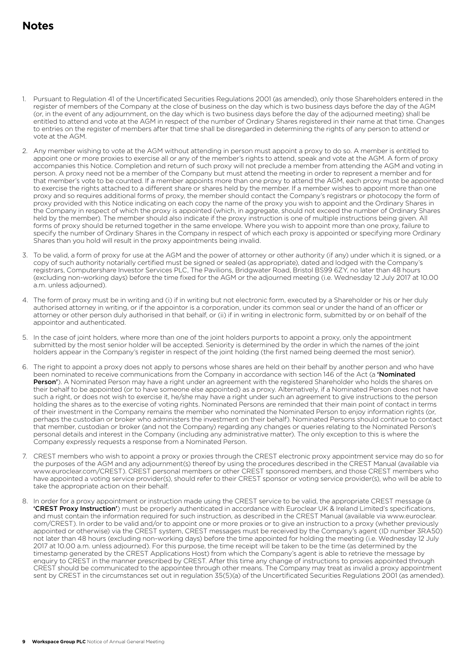- 1. Pursuant to Regulation 41 of the Uncertificated Securities Regulations 2001 (as amended), only those Shareholders entered in the register of members of the Company at the close of business on the day which is two business days before the day of the AGM (or, in the event of any adjournment, on the day which is two business days before the day of the adjourned meeting) shall be entitled to attend and vote at the AGM in respect of the number of Ordinary Shares registered in their name at that time. Changes to entries on the register of members after that time shall be disregarded in determining the rights of any person to attend or vote at the AGM.
- 2. Any member wishing to vote at the AGM without attending in person must appoint a proxy to do so. A member is entitled to appoint one or more proxies to exercise all or any of the member's rights to attend, speak and vote at the AGM. A form of proxy accompanies this Notice. Completion and return of such proxy will not preclude a member from attending the AGM and voting in person. A proxy need not be a member of the Company but must attend the meeting in order to represent a member and for that member's vote to be counted. If a member appoints more than one proxy to attend the AGM, each proxy must be appointed to exercise the rights attached to a different share or shares held by the member. If a member wishes to appoint more than one proxy and so requires additional forms of proxy, the member should contact the Company's registrars or photocopy the form of proxy provided with this Notice indicating on each copy the name of the proxy you wish to appoint and the Ordinary Shares in the Company in respect of which the proxy is appointed (which, in aggregate, should not exceed the number of Ordinary Shares held by the member). The member should also indicate if the proxy instruction is one of multiple instructions being given. All forms of proxy should be returned together in the same envelope. Where you wish to appoint more than one proxy, failure to specify the number of Ordinary Shares in the Company in respect of which each proxy is appointed or specifying more Ordinary Shares than you hold will result in the proxy appointments being invalid.
- 3. To be valid, a form of proxy for use at the AGM and the power of attorney or other authority (if any) under which it is signed, or a copy of such authority notarially certified must be signed or sealed (as appropriate), dated and lodged with the Company's registrars, Computershare Investor Services PLC, The Pavilions, Bridgwater Road, Bristol BS99 6ZY, no later than 48 hours (excluding non-working days) before the time fixed for the AGM or the adjourned meeting (i.e. Wednesday 12 July 2017 at 10.00 a.m. unless adjourned).
- 4. The form of proxy must be in writing and (i) if in writing but not electronic form, executed by a Shareholder or his or her duly authorised attorney in writing, or if the appointor is a corporation, under its common seal or under the hand of an officer or attorney or other person duly authorised in that behalf, or (ii) if in writing in electronic form, submitted by or on behalf of the appointor and authenticated.
- 5. In the case of joint holders, where more than one of the joint holders purports to appoint a proxy, only the appointment submitted by the most senior holder will be accepted. Seniority is determined by the order in which the names of the joint holders appear in the Company's register in respect of the joint holding (the first named being deemed the most senior).
- 6. The right to appoint a proxy does not apply to persons whose shares are held on their behalf by another person and who have been nominated to receive communications from the Company in accordance with section 146 of the Act (a **'Nominated** Person'). A Nominated Person may have a right under an agreement with the registered Shareholder who holds the shares on their behalf to be appointed (or to have someone else appointed) as a proxy. Alternatively, if a Nominated Person does not have such a right, or does not wish to exercise it, he/she may have a right under such an agreement to give instructions to the person holding the shares as to the exercise of voting rights. Nominated Persons are reminded that their main point of contact in terms of their investment in the Company remains the member who nominated the Nominated Person to enjoy information rights (or, perhaps the custodian or broker who administers the investment on their behalf). Nominated Persons should continue to contact that member, custodian or broker (and not the Company) regarding any changes or queries relating to the Nominated Person's personal details and interest in the Company (including any administrative matter). The only exception to this is where the Company expressly requests a response from a Nominated Person.
- 7. CREST members who wish to appoint a proxy or proxies through the CREST electronic proxy appointment service may do so for the purposes of the AGM and any adjournment(s) thereof by using the procedures described in the CREST Manual (available via www.euroclear.com/CREST). CREST personal members or other CREST sponsored members, and those CREST members who have appointed a voting service provider(s), should refer to their CREST sponsor or voting service provider(s), who will be able to take the appropriate action on their behalf.
- 8. In order for a proxy appointment or instruction made using the CREST service to be valid, the appropriate CREST message (a 'CREST Proxy Instruction') must be properly authenticated in accordance with Euroclear UK & Ireland Limited's specifications, and must contain the information required for such instruction, as described in the CREST Manual (available via www.euroclear. com/CREST). In order to be valid and/or to appoint one or more proxies or to give an instruction to a proxy (whether previously appointed or otherwise) via the CREST system, CREST messages must be received by the Company's agent (ID number 3RA50) not later than 48 hours (excluding non-working days) before the time appointed for holding the meeting (i.e. Wednesday 12 July 2017 at 10.00 a.m. unless adjourned). For this purpose, the time receipt will be taken to be the time (as determined by the timestamp generated by the CREST Applications Host) from which the Company's agent is able to retrieve the message by enquiry to CREST in the manner prescribed by CREST. After this time any change of instructions to proxies appointed through CREST should be communicated to the appointee through other means. The Company may treat as invalid a proxy appointment sent by CREST in the circumstances set out in regulation 35(5)(a) of the Uncertificated Securities Regulations 2001 (as amended).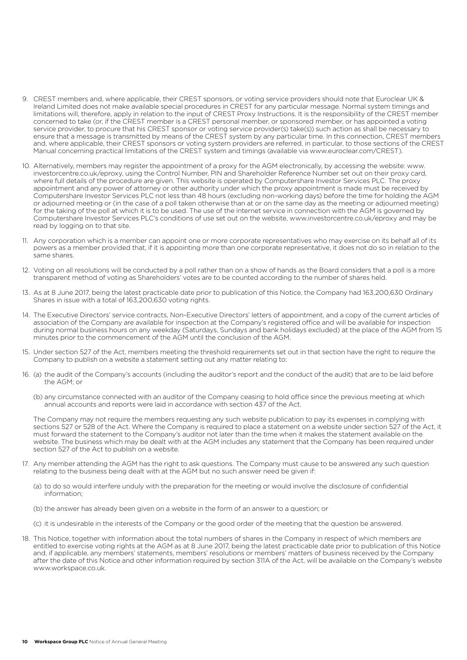- 9. CREST members and, where applicable, their CREST sponsors, or voting service providers should note that Euroclear UK & Ireland Limited does not make available special procedures in CREST for any particular message. Normal system timings and limitations will, therefore, apply in relation to the input of CREST Proxy Instructions. It is the responsibility of the CREST member concerned to take (or, if the CREST member is a CREST personal member, or sponsored member, or has appointed a voting service provider, to procure that his CREST sponsor or voting service provider(s) take(s)) such action as shall be necessary to ensure that a message is transmitted by means of the CREST system by any particular time. In this connection, CREST members and, where applicable, their CREST sponsors or voting system providers are referred, in particular, to those sections of the CREST Manual concerning practical limitations of the CREST system and timings (available via www.euroclear.com/CREST).
- 10. Alternatively, members may register the appointment of a proxy for the AGM electronically, by accessing the website: www. investorcentre.co.uk/eproxy, using the Control Number, PIN and Shareholder Reference Number set out on their proxy card, where full details of the procedure are given. This website is operated by Computershare Investor Services PLC. The proxy appointment and any power of attorney or other authority under which the proxy appointment is made must be received by Computershare Investor Services PLC not less than 48 hours (excluding non-working days) before the time for holding the AGM or adjourned meeting or (in the case of a poll taken otherwise than at or on the same day as the meeting or adjourned meeting) for the taking of the poll at which it is to be used. The use of the internet service in connection with the AGM is governed by Computershare Investor Services PLC's conditions of use set out on the website, www.investorcentre.co.uk/eproxy and may be read by logging on to that site.
- 11. Any corporation which is a member can appoint one or more corporate representatives who may exercise on its behalf all of its powers as a member provided that, if it is appointing more than one corporate representative, it does not do so in relation to the same shares.
- 12. Voting on all resolutions will be conducted by a poll rather than on a show of hands as the Board considers that a poll is a more transparent method of voting as Shareholders' votes are to be counted according to the number of shares held.
- 13. As at 8 June 2017, being the latest practicable date prior to publication of this Notice, the Company had 163,200,630 Ordinary Shares in issue with a total of 163,200,630 voting rights.
- 14. The Executive Directors' service contracts, Non-Executive Directors' letters of appointment, and a copy of the current articles of association of the Company are available for inspection at the Company's registered office and will be available for inspection during normal business hours on any weekday (Saturdays, Sundays and bank holidays excluded) at the place of the AGM from 15 minutes prior to the commencement of the AGM until the conclusion of the AGM.
- 15. Under section 527 of the Act, members meeting the threshold requirements set out in that section have the right to require the Company to publish on a website a statement setting out any matter relating to:
- 16. (a) the audit of the Company's accounts (including the auditor's report and the conduct of the audit) that are to be laid before the AGM; or
	- (b) any circumstance connected with an auditor of the Company ceasing to hold office since the previous meeting at which annual accounts and reports were laid in accordance with section 437 of the Act.

 The Company may not require the members requesting any such website publication to pay its expenses in complying with sections 527 or 528 of the Act. Where the Company is required to place a statement on a website under section 527 of the Act, it must forward the statement to the Company's auditor not later than the time when it makes the statement available on the website. The business which may be dealt with at the AGM includes any statement that the Company has been required under section 527 of the Act to publish on a website.

- 17. Any member attending the AGM has the right to ask questions. The Company must cause to be answered any such question relating to the business being dealt with at the AGM but no such answer need be given if:
	- (a) to do so would interfere unduly with the preparation for the meeting or would involve the disclosure of confidential information;
	- (b) the answer has already been given on a website in the form of an answer to a question; or
	- (c) it is undesirable in the interests of the Company or the good order of the meeting that the question be answered.
- 18. This Notice, together with information about the total numbers of shares in the Company in respect of which members are entitled to exercise voting rights at the AGM as at 8 June 2017, being the latest practicable date prior to publication of this Notice and, if applicable, any members' statements, members' resolutions or members' matters of business received by the Company after the date of this Notice and other information required by section 311A of the Act, will be available on the Company's website www.workspace.co.uk.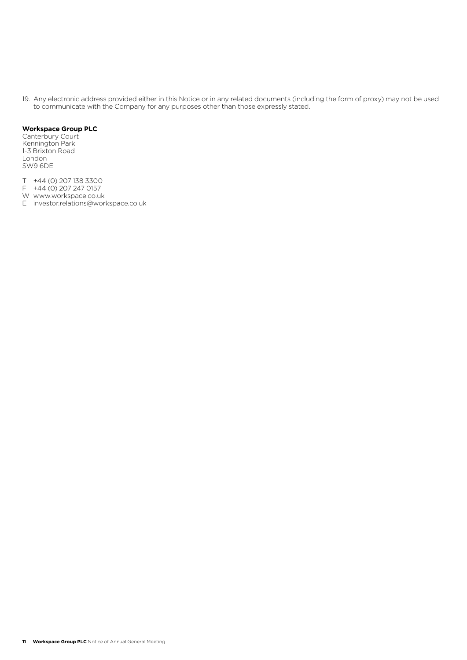19. Any electronic address provided either in this Notice or in any related documents (including the form of proxy) may not be used to communicate with the Company for any purposes other than those expressly stated.

#### **Workspace Group PLC**

Canterbury Court Kennington Park 1-3 Brixton Road London SW9 6DE

- T +44 (0) 207 138 3300
- F +44 (0) 207 247 0157
- W www.workspace.co.uk E investor.relations@workspace.co.uk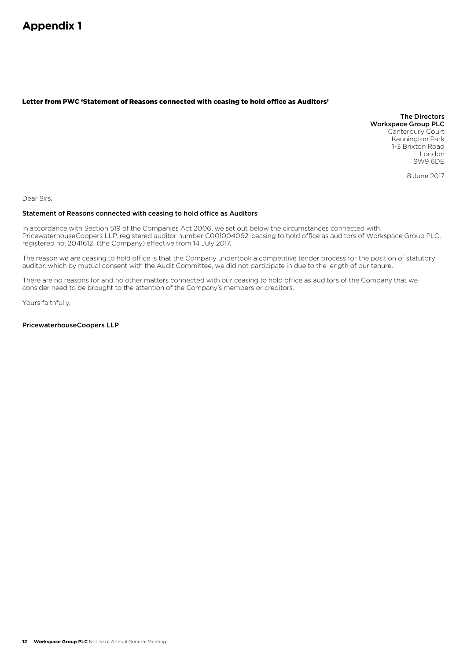#### Letter from PWC 'Statement of Reasons connected with ceasing to hold office as Auditors'

The Directors Workspace Group PLC Canterbury Court Kennington Park 1-3 Brixton Road London SW9 6DE

8 June 2017

Dear Sirs,

#### Statement of Reasons connected with ceasing to hold office as Auditors

In accordance with Section 519 of the Companies Act 2006, we set out below the circumstances connected with PricewaterhouseCoopers LLP, registered auditor number C001004062, ceasing to hold office as auditors of Workspace Group PLC, registered no: 2041612 (the Company) effective from 14 July 2017.

The reason we are ceasing to hold office is that the Company undertook a competitive tender process for the position of statutory auditor, which by mutual consent with the Audit Committee, we did not participate in due to the length of our tenure.

There are no reasons for and no other matters connected with our ceasing to hold office as auditors of the Company that we consider need to be brought to the attention of the Company's members or creditors.

Yours faithfully,

PricewaterhouseCoopers LLP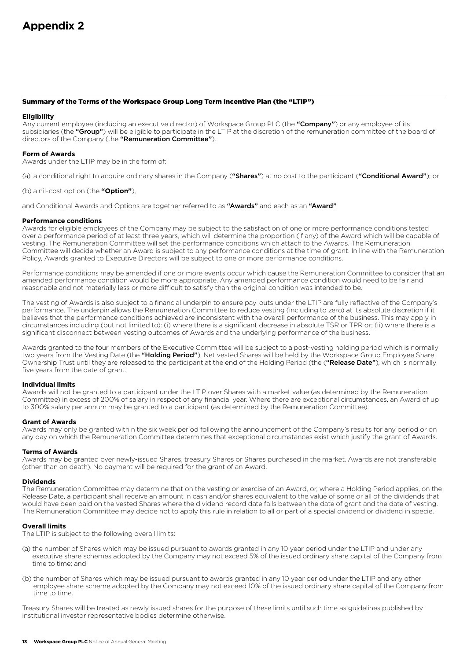#### Summary of the Terms of the Workspace Group Long Term Incentive Plan (the "LTIP")

#### **Eligibility**

Any current employee (including an executive director) of Workspace Group PLC (the "Company") or any employee of its subsidiaries (the "Group") will be eligible to participate in the LTIP at the discretion of the remuneration committee of the board of directors of the Company (the "Remuneration Committee").

#### **Form of Awards**

Awards under the LTIP may be in the form of:

(a) a conditional right to acquire ordinary shares in the Company ("Shares") at no cost to the participant ("Conditional Award"); or

(b) a nil-cost option (the **"Option"**),

and Conditional Awards and Options are together referred to as "Awards" and each as an "Award".

#### **Performance conditions**

Awards for eligible employees of the Company may be subject to the satisfaction of one or more performance conditions tested over a performance period of at least three years, which will determine the proportion (if any) of the Award which will be capable of vesting. The Remuneration Committee will set the performance conditions which attach to the Awards. The Remuneration Committee will decide whether an Award is subject to any performance conditions at the time of grant. In line with the Remuneration Policy, Awards granted to Executive Directors will be subject to one or more performance conditions.

Performance conditions may be amended if one or more events occur which cause the Remuneration Committee to consider that an amended performance condition would be more appropriate. Any amended performance condition would need to be fair and reasonable and not materially less or more difficult to satisfy than the original condition was intended to be.

The vesting of Awards is also subject to a financial underpin to ensure pay-outs under the LTIP are fully reflective of the Company's performance. The underpin allows the Remuneration Committee to reduce vesting (including to zero) at its absolute discretion if it believes that the performance conditions achieved are inconsistent with the overall performance of the business. This may apply in circumstances including (but not limited to): (i) where there is a significant decrease in absolute TSR or TPR or; (ii) where there is a significant disconnect between vesting outcomes of Awards and the underlying performance of the business.

Awards granted to the four members of the Executive Committee will be subject to a post-vesting holding period which is normally two years from the Vesting Date (the "Holding Period"). Net vested Shares will be held by the Workspace Group Employee Share Ownership Trust until they are released to the participant at the end of the Holding Period (the ("Release Date"), which is normally five years from the date of grant.

#### **Individual limits**

Awards will not be granted to a participant under the LTIP over Shares with a market value (as determined by the Remuneration Committee) in excess of 200% of salary in respect of any financial year. Where there are exceptional circumstances, an Award of up to 300% salary per annum may be granted to a participant (as determined by the Remuneration Committee).

#### **Grant of Awards**

Awards may only be granted within the six week period following the announcement of the Company's results for any period or on any day on which the Remuneration Committee determines that exceptional circumstances exist which justify the grant of Awards.

#### **Terms of Awards**

Awards may be granted over newly-issued Shares, treasury Shares or Shares purchased in the market. Awards are not transferable (other than on death). No payment will be required for the grant of an Award.

#### **Dividends**

The Remuneration Committee may determine that on the vesting or exercise of an Award, or, where a Holding Period applies, on the Release Date, a participant shall receive an amount in cash and/or shares equivalent to the value of some or all of the dividends that would have been paid on the vested Shares where the dividend record date falls between the date of grant and the date of vesting. The Remuneration Committee may decide not to apply this rule in relation to all or part of a special dividend or dividend in specie.

#### **Overall limits**

The LTIP is subject to the following overall limits:

- (a) the number of Shares which may be issued pursuant to awards granted in any 10 year period under the LTIP and under any executive share schemes adopted by the Company may not exceed 5% of the issued ordinary share capital of the Company from time to time; and
- (b) the number of Shares which may be issued pursuant to awards granted in any 10 year period under the LTIP and any other employee share scheme adopted by the Company may not exceed 10% of the issued ordinary share capital of the Company from time to time.

Treasury Shares will be treated as newly issued shares for the purpose of these limits until such time as guidelines published by institutional investor representative bodies determine otherwise.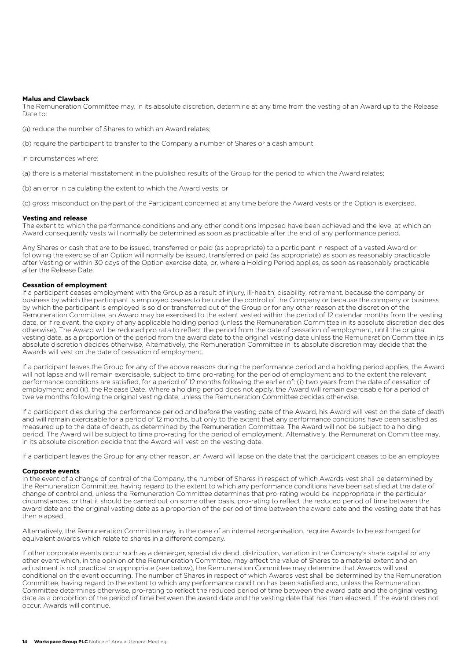#### **Malus and Clawback**

The Remuneration Committee may, in its absolute discretion, determine at any time from the vesting of an Award up to the Release Date to:

(a) reduce the number of Shares to which an Award relates;

(b) require the participant to transfer to the Company a number of Shares or a cash amount,

in circumstances where:

(a) there is a material misstatement in the published results of the Group for the period to which the Award relates;

(b) an error in calculating the extent to which the Award vests; or

(c) gross misconduct on the part of the Participant concerned at any time before the Award vests or the Option is exercised.

#### **Vesting and release**

The extent to which the performance conditions and any other conditions imposed have been achieved and the level at which an Award consequently vests will normally be determined as soon as practicable after the end of any performance period.

Any Shares or cash that are to be issued, transferred or paid (as appropriate) to a participant in respect of a vested Award or following the exercise of an Option will normally be issued, transferred or paid (as appropriate) as soon as reasonably practicable after Vesting or within 30 days of the Option exercise date, or, where a Holding Period applies, as soon as reasonably practicable after the Release Date.

#### **Cessation of employment**

If a participant ceases employment with the Group as a result of injury, ill-health, disability, retirement, because the company or business by which the participant is employed ceases to be under the control of the Company or because the company or business by which the participant is employed is sold or transferred out of the Group or for any other reason at the discretion of the Remuneration Committee, an Award may be exercised to the extent vested within the period of 12 calendar months from the vesting date, or if relevant, the expiry of any applicable holding period (unless the Remuneration Committee in its absolute discretion decides otherwise). The Award will be reduced pro rata to reflect the period from the date of cessation of employment, until the original vesting date, as a proportion of the period from the award date to the original vesting date unless the Remuneration Committee in its absolute discretion decides otherwise, Alternatively, the Remuneration Committee in its absolute discretion may decide that the Awards will vest on the date of cessation of employment.

If a participant leaves the Group for any of the above reasons during the performance period and a holding period applies, the Award will not lapse and will remain exercisable, subject to time pro-rating for the period of employment and to the extent the relevant performance conditions are satisfied, for a period of 12 months following the earlier of: (i) two years from the date of cessation of employment; and (ii), the Release Date. Where a holding period does not apply, the Award will remain exercisable for a period of twelve months following the original vesting date, unless the Remuneration Committee decides otherwise.

If a participant dies during the performance period and before the vesting date of the Award, his Award will vest on the date of death and will remain exercisable for a period of 12 months, but only to the extent that any performance conditions have been satisfied as measured up to the date of death, as determined by the Remuneration Committee. The Award will not be subject to a holding period. The Award will be subject to time pro-rating for the period of employment. Alternatively, the Remuneration Committee may, in its absolute discretion decide that the Award will vest on the vesting date.

If a participant leaves the Group for any other reason, an Award will lapse on the date that the participant ceases to be an employee.

#### **Corporate events**

In the event of a change of control of the Company, the number of Shares in respect of which Awards vest shall be determined by the Remuneration Committee, having regard to the extent to which any performance conditions have been satisfied at the date of change of control and, unless the Remuneration Committee determines that pro-rating would be inappropriate in the particular circumstances, or that it should be carried out on some other basis, pro-rating to reflect the reduced period of time between the award date and the original vesting date as a proportion of the period of time between the award date and the vesting date that has then elapsed.

Alternatively, the Remuneration Committee may, in the case of an internal reorganisation, require Awards to be exchanged for equivalent awards which relate to shares in a different company.

If other corporate events occur such as a demerger, special dividend, distribution, variation in the Company's share capital or any other event which, in the opinion of the Remuneration Committee, may affect the value of Shares to a material extent and an adjustment is not practical or appropriate (see below), the Remuneration Committee may determine that Awards will vest conditional on the event occurring. The number of Shares in respect of which Awards vest shall be determined by the Remuneration Committee, having regard to the extent to which any performance condition has been satisfied and, unless the Remuneration Committee determines otherwise, pro-rating to reflect the reduced period of time between the award date and the original vesting date as a proportion of the period of time between the award date and the vesting date that has then elapsed. If the event does not occur, Awards will continue.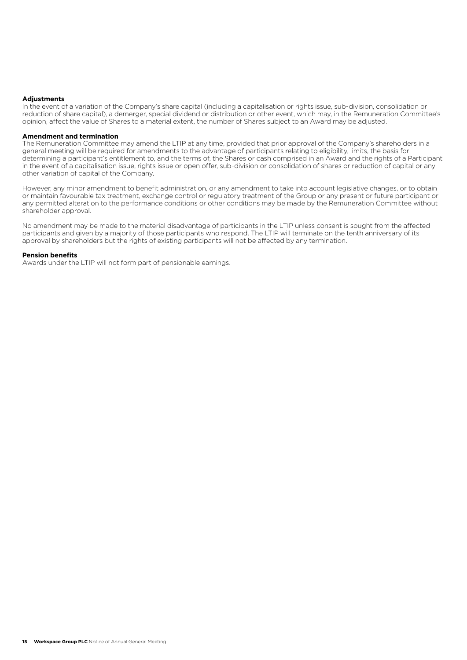#### **Adjustments**

In the event of a variation of the Company's share capital (including a capitalisation or rights issue, sub-division, consolidation or reduction of share capital), a demerger, special dividend or distribution or other event, which may, in the Remuneration Committee's opinion, affect the value of Shares to a material extent, the number of Shares subject to an Award may be adjusted.

#### **Amendment and termination**

The Remuneration Committee may amend the LTIP at any time, provided that prior approval of the Company's shareholders in a general meeting will be required for amendments to the advantage of participants relating to eligibility, limits, the basis for determining a participant's entitlement to, and the terms of, the Shares or cash comprised in an Award and the rights of a Participant in the event of a capitalisation issue, rights issue or open offer, sub-division or consolidation of shares or reduction of capital or any other variation of capital of the Company.

However, any minor amendment to benefit administration, or any amendment to take into account legislative changes, or to obtain or maintain favourable tax treatment, exchange control or regulatory treatment of the Group or any present or future participant or any permitted alteration to the performance conditions or other conditions may be made by the Remuneration Committee without shareholder approval.

No amendment may be made to the material disadvantage of participants in the LTIP unless consent is sought from the affected participants and given by a majority of those participants who respond. The LTIP will terminate on the tenth anniversary of its approval by shareholders but the rights of existing participants will not be affected by any termination.

#### **Pension benefits**

Awards under the LTIP will not form part of pensionable earnings.